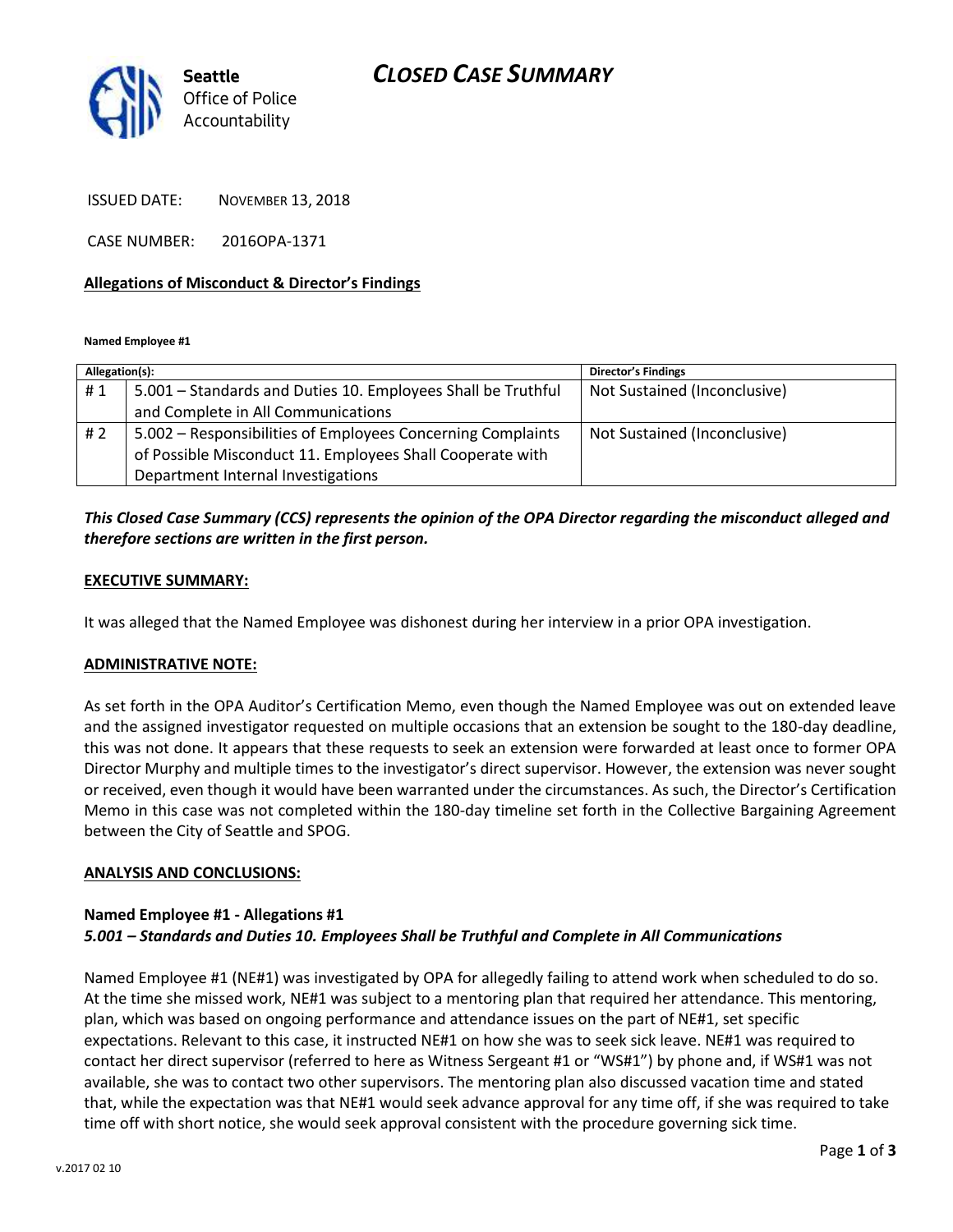# *CLOSED CASE SUMMARY*



ISSUED DATE: NOVEMBER 13, 2018

CASE NUMBER: 2016OPA-1371

### **Allegations of Misconduct & Director's Findings**

**Named Employee #1**

| Allegation(s): |                                                              | <b>Director's Findings</b>   |
|----------------|--------------------------------------------------------------|------------------------------|
| #1             | 5.001 – Standards and Duties 10. Employees Shall be Truthful | Not Sustained (Inconclusive) |
|                | and Complete in All Communications                           |                              |
| #2             | 5.002 – Responsibilities of Employees Concerning Complaints  | Not Sustained (Inconclusive) |
|                | of Possible Misconduct 11. Employees Shall Cooperate with    |                              |
|                | Department Internal Investigations                           |                              |

## *This Closed Case Summary (CCS) represents the opinion of the OPA Director regarding the misconduct alleged and therefore sections are written in the first person.*

#### **EXECUTIVE SUMMARY:**

It was alleged that the Named Employee was dishonest during her interview in a prior OPA investigation.

#### **ADMINISTRATIVE NOTE:**

As set forth in the OPA Auditor's Certification Memo, even though the Named Employee was out on extended leave and the assigned investigator requested on multiple occasions that an extension be sought to the 180-day deadline, this was not done. It appears that these requests to seek an extension were forwarded at least once to former OPA Director Murphy and multiple times to the investigator's direct supervisor. However, the extension was never sought or received, even though it would have been warranted under the circumstances. As such, the Director's Certification Memo in this case was not completed within the 180-day timeline set forth in the Collective Bargaining Agreement between the City of Seattle and SPOG.

#### **ANALYSIS AND CONCLUSIONS:**

### **Named Employee #1 - Allegations #1** *5.001 – Standards and Duties 10. Employees Shall be Truthful and Complete in All Communications*

Named Employee #1 (NE#1) was investigated by OPA for allegedly failing to attend work when scheduled to do so. At the time she missed work, NE#1 was subject to a mentoring plan that required her attendance. This mentoring, plan, which was based on ongoing performance and attendance issues on the part of NE#1, set specific expectations. Relevant to this case, it instructed NE#1 on how she was to seek sick leave. NE#1 was required to contact her direct supervisor (referred to here as Witness Sergeant #1 or "WS#1") by phone and, if WS#1 was not available, she was to contact two other supervisors. The mentoring plan also discussed vacation time and stated that, while the expectation was that NE#1 would seek advance approval for any time off, if she was required to take time off with short notice, she would seek approval consistent with the procedure governing sick time.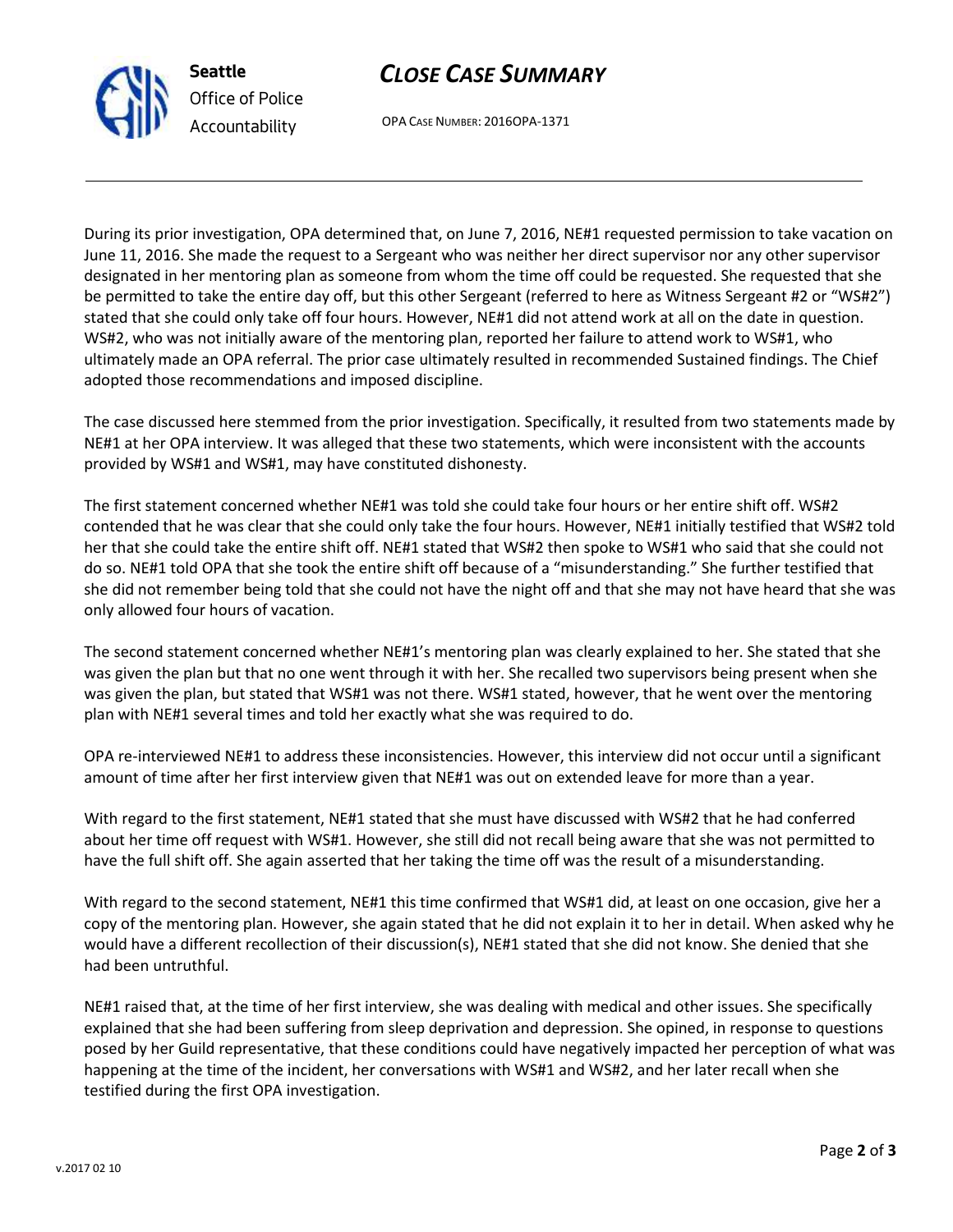

**Seattle** *Office of Police Accountability*

OPA CASE NUMBER: 2016OPA-1371

*CLOSE CASE SUMMARY*

During its prior investigation, OPA determined that, on June 7, 2016, NE#1 requested permission to take vacation on June 11, 2016. She made the request to a Sergeant who was neither her direct supervisor nor any other supervisor designated in her mentoring plan as someone from whom the time off could be requested. She requested that she be permitted to take the entire day off, but this other Sergeant (referred to here as Witness Sergeant #2 or "WS#2") stated that she could only take off four hours. However, NE#1 did not attend work at all on the date in question. WS#2, who was not initially aware of the mentoring plan, reported her failure to attend work to WS#1, who ultimately made an OPA referral. The prior case ultimately resulted in recommended Sustained findings. The Chief adopted those recommendations and imposed discipline.

The case discussed here stemmed from the prior investigation. Specifically, it resulted from two statements made by NE#1 at her OPA interview. It was alleged that these two statements, which were inconsistent with the accounts provided by WS#1 and WS#1, may have constituted dishonesty.

The first statement concerned whether NE#1 was told she could take four hours or her entire shift off. WS#2 contended that he was clear that she could only take the four hours. However, NE#1 initially testified that WS#2 told her that she could take the entire shift off. NE#1 stated that WS#2 then spoke to WS#1 who said that she could not do so. NE#1 told OPA that she took the entire shift off because of a "misunderstanding." She further testified that she did not remember being told that she could not have the night off and that she may not have heard that she was only allowed four hours of vacation.

The second statement concerned whether NE#1's mentoring plan was clearly explained to her. She stated that she was given the plan but that no one went through it with her. She recalled two supervisors being present when she was given the plan, but stated that WS#1 was not there. WS#1 stated, however, that he went over the mentoring plan with NE#1 several times and told her exactly what she was required to do.

OPA re-interviewed NE#1 to address these inconsistencies. However, this interview did not occur until a significant amount of time after her first interview given that NE#1 was out on extended leave for more than a year.

With regard to the first statement, NE#1 stated that she must have discussed with WS#2 that he had conferred about her time off request with WS#1. However, she still did not recall being aware that she was not permitted to have the full shift off. She again asserted that her taking the time off was the result of a misunderstanding.

With regard to the second statement, NE#1 this time confirmed that WS#1 did, at least on one occasion, give her a copy of the mentoring plan. However, she again stated that he did not explain it to her in detail. When asked why he would have a different recollection of their discussion(s), NE#1 stated that she did not know. She denied that she had been untruthful.

NE#1 raised that, at the time of her first interview, she was dealing with medical and other issues. She specifically explained that she had been suffering from sleep deprivation and depression. She opined, in response to questions posed by her Guild representative, that these conditions could have negatively impacted her perception of what was happening at the time of the incident, her conversations with WS#1 and WS#2, and her later recall when she testified during the first OPA investigation.